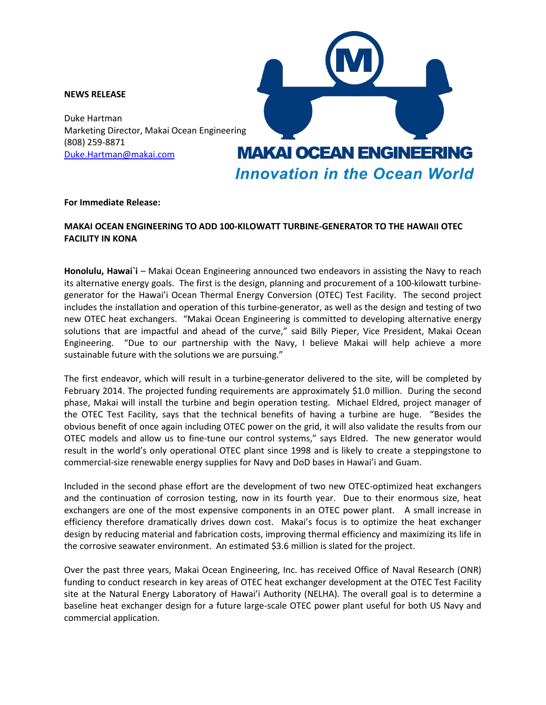## **NEWS RELEASE**

Duke Hartman Marketing Director, Makai Ocean Engineering (808) 259-8871 [Duke.Hartman@makai.com](mailto:Billy.Pieper@makai.com)



## **For Immediate Release:**

## **MAKAI OCEAN ENGINEERING TO ADD 100-KILOWATT TURBINE-GENERATOR TO THE HAWAII OTEC FACILITY IN KONA**

Honolulu, Hawai`i – Makai Ocean Engineering announced two endeavors in assisting the Navy to reach its alternative energy goals. The first is the design, planning and procurement of a 100-kilowatt turbinegenerator for the Hawai'i Ocean Thermal Energy Conversion (OTEC) Test Facility. The second project includes the installation and operation of this turbine-generator, as well as the design and testing of two new OTEC heat exchangers. "Makai Ocean Engineering is committed to developing alternative energy solutions that are impactful and ahead of the curve," said Billy Pieper, Vice President, Makai Ocean Engineering. "Due to our partnership with the Navy, I believe Makai will help achieve a more sustainable future with the solutions we are pursuing."

The first endeavor, which will result in a turbine-generator delivered to the site, will be completed by February 2014. The projected funding requirements are approximately \$1.0 million. During the second phase, Makai will install the turbine and begin operation testing. Michael Eldred, project manager of the OTEC Test Facility, says that the technical benefits of having a turbine are huge. "Besides the obvious benefit of once again including OTEC power on the grid, it will also validate the results from our OTEC models and allow us to fine-tune our control systems," says Eldred. The new generator would result in the world's only operational OTEC plant since 1998 and is likely to create a steppingstone to commercial-size renewable energy supplies for Navy and DoD bases in Hawai'i and Guam.

Included in the second phase effort are the development of two new OTEC-optimized heat exchangers and the continuation of corrosion testing, now in its fourth year. Due to their enormous size, heat exchangers are one of the most expensive components in an OTEC power plant. A small increase in efficiency therefore dramatically drives down cost. Makai's focus is to optimize the heat exchanger design by reducing material and fabrication costs, improving thermal efficiency and maximizing its life in the corrosive seawater environment. An estimated \$3.6 million is slated for the project.

Over the past three years, Makai Ocean Engineering, Inc. has received Office of Naval Research (ONR) funding to conduct research in key areas of OTEC heat exchanger development at the OTEC Test Facility site at the Natural Energy Laboratory of Hawai'i Authority (NELHA). The overall goal is to determine a baseline heat exchanger design for a future large-scale OTEC power plant useful for both US Navy and commercial application.